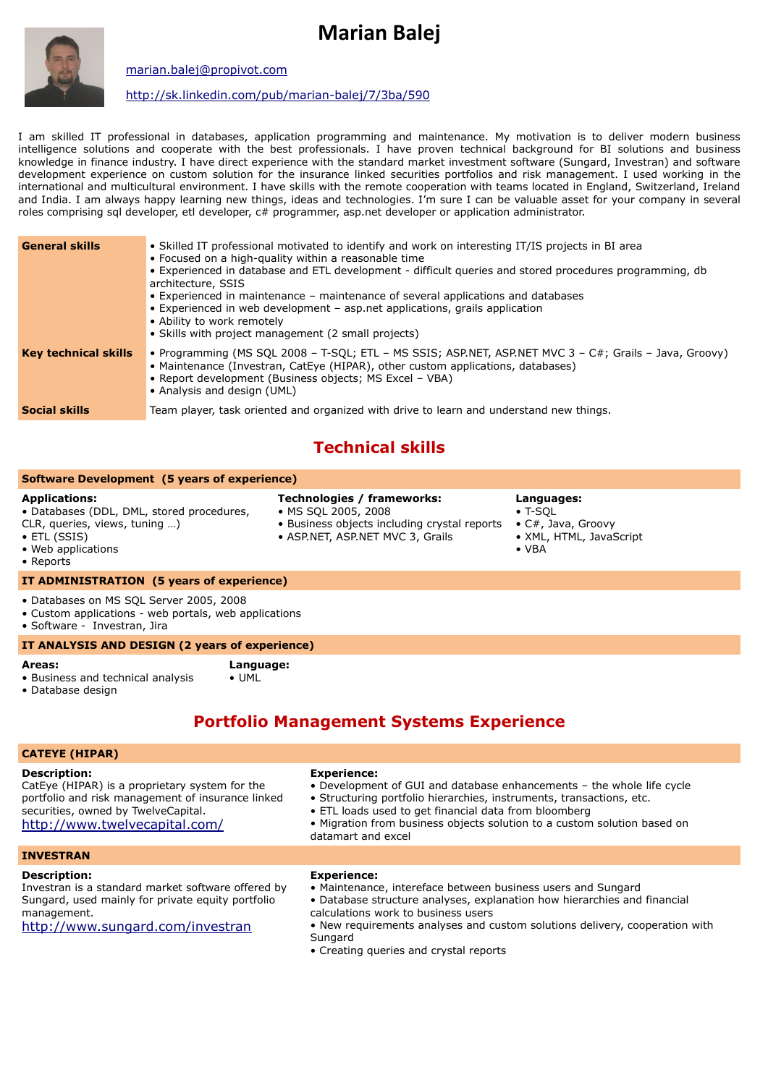# **Marian Balej**



[marian.balej@propivot.com](mailto:marian.balej@propivot.com)

<http://sk.linkedin.com/pub/marian-balej/7/3ba/590>

I am skilled IT professional in databases, application programming and maintenance. My motivation is to deliver modern business intelligence solutions and cooperate with the best professionals. I have proven technical background for BI solutions and business knowledge in finance industry. I have direct experience with the standard market investment software (Sungard, Investran) and software development experience on custom solution for the insurance linked securities portfolios and risk management. I used working in the international and multicultural environment. I have skills with the remote cooperation with teams located in England, Switzerland, Ireland and India. I am always happy learning new things, ideas and technologies. I'm sure I can be valuable asset for your company in several roles comprising sql developer, etl developer, c# programmer, asp.net developer or application administrator.

| <b>General skills</b>       | • Skilled IT professional motivated to identify and work on interesting IT/IS projects in BI area<br>• Focused on a high-quality within a reasonable time<br>• Experienced in database and ETL development - difficult queries and stored procedures programming, db<br>architecture, SSIS<br>• Experienced in maintenance – maintenance of several applications and databases<br>• Experienced in web development – asp.net applications, grails application<br>• Ability to work remotely<br>• Skills with project management (2 small projects) |
|-----------------------------|----------------------------------------------------------------------------------------------------------------------------------------------------------------------------------------------------------------------------------------------------------------------------------------------------------------------------------------------------------------------------------------------------------------------------------------------------------------------------------------------------------------------------------------------------|
| <b>Key technical skills</b> | • Programming (MS SQL 2008 - T-SQL; ETL - MS SSIS; ASP.NET, ASP.NET MVC 3 - C#; Grails - Java, Groovy)<br>• Maintenance (Investran, CatEye (HIPAR), other custom applications, databases)<br>• Report development (Business objects; MS Excel – VBA)<br>• Analysis and design (UML)                                                                                                                                                                                                                                                                |
| <b>Social skills</b>        | Team player, task oriented and organized with drive to learn and understand new things.                                                                                                                                                                                                                                                                                                                                                                                                                                                            |

# **Technical skills**

#### **Software Development (5 years of experience)**

#### **Applications:**

- Databases (DDL, DML, stored procedures,
- CLR, queries, views, tuning …) • ETL (SSIS)
	-

### • MS SQL 2005, 2008

**Technologies / frameworks:**

- Business objects including crystal reports
- ASP.NET, ASP.NET MVC 3, Grails

#### **Languages:**  $\bullet$  T-SOL

- C#, Java, Groovy
- XML, HTML, JavaScript
- VBA
- Web applications
- Reports

#### **IT ADMINISTRATION (5 years of experience)**

- Databases on MS SQL Server 2005, 2008
- Custom applications web portals, web applications
- Software Investran, Jira

#### **IT ANALYSIS AND DESIGN (2 years of experience)**

#### **Areas:**

• Business and technical analysis **Language:**

• Database design

### $\bullet$  IIMI

### **Portfolio Management Systems Experience**

### **CATEYE (HIPAR)**

#### **Description:**

CatEye (HIPAR) is a proprietary system for the portfolio and risk management of insurance linked securities, owned by TwelveCapital. <http://www.twelvecapital.com/>

#### **Experience:**

- Development of GUI and database enhancements the whole life cycle
- Structuring portfolio hierarchies, instruments, transactions, etc.
- ETL loads used to get financial data from bloomberg
- Migration from business objects solution to a custom solution based on datamart and excel

### **INVESTRAN**

#### **Description:**

Investran is a standard market software offered by Sungard, used mainly for private equity portfolio management.

<http://www.sungard.com/investran>

- **Experience:** • Maintenance, intereface between business users and Sungard
- Database structure analyses, explanation how hierarchies and financial
- calculations work to business users
- New requirements analyses and custom solutions delivery, cooperation with **Sungard**
- Creating queries and crystal reports